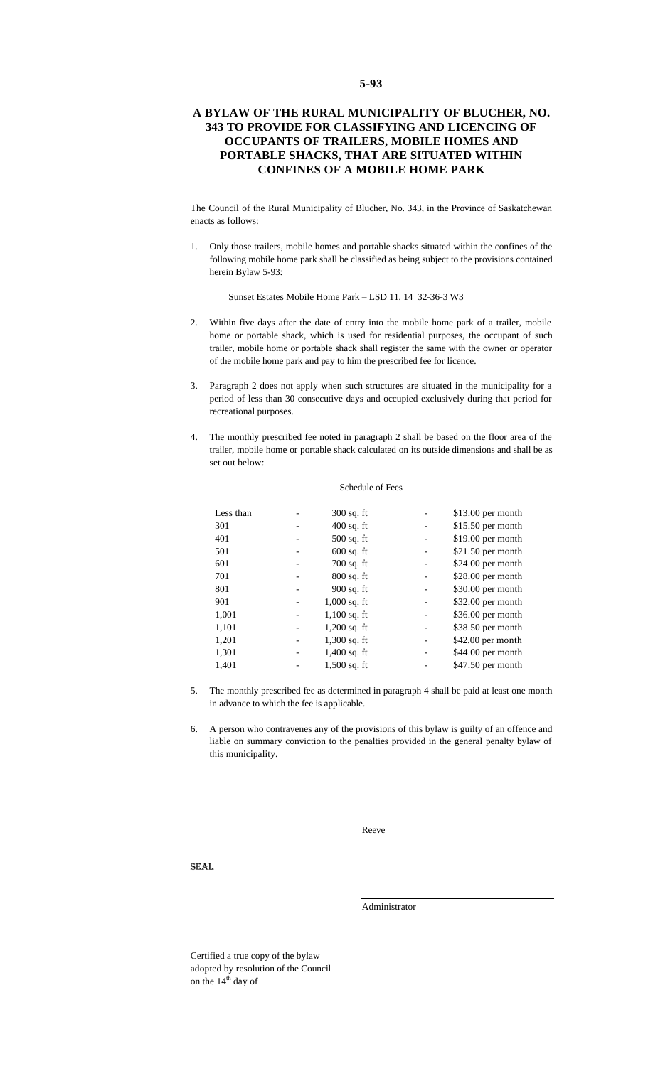## **A BYLAW OF THE RURAL MUNICIPALITY OF BLUCHER, NO. 343 TO PROVIDE FOR CLASSIFYING AND LICENCING OF OCCUPANTS OF TRAILERS, MOBILE HOMES AND PORTABLE SHACKS, THAT ARE SITUATED WITHIN CONFINES OF A MOBILE HOME PARK**

The Council of the Rural Municipality of Blucher, No. 343, in the Province of Saskatchewan enacts as follows:

1. Only those trailers, mobile homes and portable shacks situated within the confines of the following mobile home park shall be classified as being subject to the provisions contained herein Bylaw 5-93:

Sunset Estates Mobile Home Park – LSD 11, 14 32-36-3 W3

- 2. Within five days after the date of entry into the mobile home park of a trailer, mobile home or portable shack, which is used for residential purposes, the occupant of such trailer, mobile home or portable shack shall register the same with the owner or operator of the mobile home park and pay to him the prescribed fee for licence.
- 3. Paragraph 2 does not apply when such structures are situated in the municipality for a period of less than 30 consecutive days and occupied exclusively during that period for recreational purposes.
- 4. The monthly prescribed fee noted in paragraph 2 shall be based on the floor area of the trailer, mobile home or portable shack calculated on its outside dimensions and shall be as set out below:

|           | Schedule of Fees |                    |
|-----------|------------------|--------------------|
| Less than | $300$ sq. ft     | $$13.00$ per month |
| 301       | $400$ sq. ft     | $$15.50$ per month |
| 401       | $500$ sq. ft     | \$19.00 per month  |
| 501       | $600$ sq. ft     | \$21.50 per month  |
| 601       | $700$ sq. ft     | $$24.00$ per month |
| 701       | $800$ sq. ft     | \$28.00 per month  |
| 801       | 900 sq. ft       | \$30.00 per month  |
| 901       | $1,000$ sq. ft   | \$32.00 per month  |
| 1,001     | $1,100$ sq. ft   | $$36.00$ per month |
| 1,101     | $1,200$ sq. ft   | \$38.50 per month  |
| 1,201     | $1,300$ sq. ft   | \$42.00 per month  |
| 1,301     | $1,400$ sq. ft   | \$44.00 per month  |
| 1,401     | $1,500$ sq. ft   | \$47.50 per month  |
|           |                  |                    |

- 5. The monthly prescribed fee as determined in paragraph 4 shall be paid at least one month in advance to which the fee is applicable.
- 6. A person who contravenes any of the provisions of this bylaw is guilty of an offence and liable on summary conviction to the penalties provided in the general penalty bylaw of this municipality.

Reeve

SEAL

Administrator

Certified a true copy of the bylaw adopted by resolution of the Council on the 14<sup>th</sup> day of